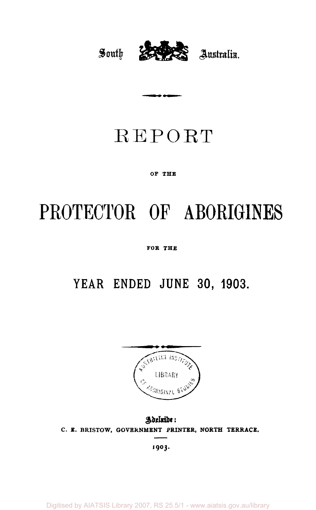

## REPORT

...

#### **OF THE**

# **PROTECTOR OF ABORIGINES**

**FOR THE** 

### **YEAR ENDED JUNE 30, 1903.**



*Adelaide*  **C. E. BRISTOW, GOVERNMENT PRINTER, NORTH TERRACE.** 

**1903.**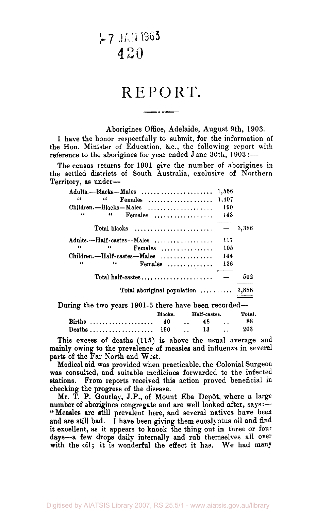|~7 JAN 1963 **2** 

### REPORT.

Aborigines Office, Adelaide, August 9th, 1903.

I have the honor respectfully to submit, for the information of the Hon. Minister of Education, &c, the following report with reference to the aborigines for year ended June 30th, 1903 :—

The census returns for 1901 give the number of aborigines in the settled districts of South Australia, exclusive of Northern Territory, as under—

| Adults.--Blacks--Males                                   |            |              | 1.556 |        |
|----------------------------------------------------------|------------|--------------|-------|--------|
| 44<br>66<br>$Females$                                    |            |              | 1,497 |        |
| Children.-Blacks-Males                                   |            |              | 190   |        |
| "<br>44<br>Females                                       |            |              | 143   |        |
| Total blacks $\dots\dots\dots\dots\dots\dots\dots\dots$  |            |              |       | 3,386  |
| Adults.--Half-castes--Males                              |            |              | 117   |        |
| 46<br>44                                                 | $F$ emales |              | 105   |        |
| $Children. - Half-castes - Males$                        |            |              | 144   |        |
| 44<br>"                                                  | Females    |              | 136   |        |
|                                                          |            |              |       | 502    |
| Total aboriginal population $\ldots \ldots \ldots$ 3,888 |            |              |       |        |
| During the two years 1901-3 there have been recorded—    |            |              |       |        |
|                                                          | Blacks.    | Half-castes. |       | Total. |
| Births                                                   | 40         | 48           |       | 88     |
| Deaths ,                                                 | 190        | 13           |       | 203    |

This excess of deaths (115) is above the usual average and mainly owing to the prevalence of measles and influenza in several parts of the Far North and West.

Medical aid was provided when practicable, the Colonial Surgeon was consulted, and suitable medicines forwarded to the infected stations. From reports received this action proved beneficial in checking the progress of the disease.

Mr. T. P. Gourlay, J.P., of Mount Eba Depôt, where a large number of aborigines congregate and are well looked after, says:— "Measles are still prevalent here, and several natives have been and are still bad. I have been giving them eucalyptus oil and find it excellent, as it appears to knock the thing out in three or four days—a few drops daily internally and rub themselves all over with the oil; it is wonderful the effect it has. We had many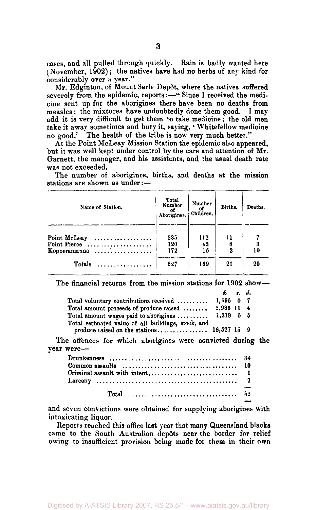cases, and all pulled through quickly. Rain is badly wanted here (November,  $1902$ ); the natives have had no herbs of any kind for considerably over a year."

Mr. Edginton, of Mount Serle Depôt, where the natives suffered severely from the epidemic, reports:-" Since I received the medicine sent up for the aborigines there have been no deaths from measles ; the mixtures have undoubtedly done them good. I may add it is very difficult to get them to take medicine; the old men take it away sometimes and bury it, saying,' Whitefellow medicine no good.' The health of the tribe is now very much better."

At the Point McLeay Mission Station the epidemic also appeared, but it was well kept under control by the care and attention of Mr. Garnett. the manager, and his assistants, and the usual death rate was not exceeded.

The number of aborigines, births, and deaths at the mission stations are shown as under:—

| Name of Station.                                                           | Total<br>Number<br>of<br>Aborigines. | Number<br>- of<br>Children. | Births, | Deaths. |
|----------------------------------------------------------------------------|--------------------------------------|-----------------------------|---------|---------|
| Point McLeay<br>Point Pierce<br>Expressions of the Mercury<br>Kopperamanna | 235<br>120<br>172                    | 112<br>42<br>15             | 11<br>2 | 10      |
| Totals $\ldots \ldots \ldots \ldots \ldots$                                | 5:27                                 | 169                         | 21      | 20      |

The financial returns from the mission stations for 1902 show—

|                                                                                                  | $\pmb{\pmb{L}}$ $\pmb{\qquad}$ $\pmb{\qquad}$ $\pmb{\qquad}$ $\pmb{\qquad}$ $\pmb{\qquad}$ |  |
|--------------------------------------------------------------------------------------------------|--------------------------------------------------------------------------------------------|--|
| Total voluntary contributions received $\ldots \ldots$                                           | $1.695$ 0 7                                                                                |  |
| Total amount proceeds of produce raised                                                          | 2,986 11 4                                                                                 |  |
| Total amount wages paid to aborigines $\ldots \ldots$                                            | $1.319$ 5 5                                                                                |  |
| Total estimated value of all buildings, stock, and<br>produce raised on the stations 18,527 15 9 |                                                                                            |  |

The offences for which aborigines were convicted during the year were—

| Common assaults $\dots, \dots, \dots, \dots, \dots, \dots, \dots, \dots, \dots$         |  |
|-----------------------------------------------------------------------------------------|--|
|                                                                                         |  |
|                                                                                         |  |
| Total $\ldots \ldots \ldots \ldots \ldots \ldots \ldots \ldots \ldots \ldots \ldots 52$ |  |

and seven convictions were obtained for supplying aborigines with intoxicating liquor.

Reports reached this office last year that many Queensland blacks came to the South Australian depots near the border for relief owing to insufficient provision being made for them in their own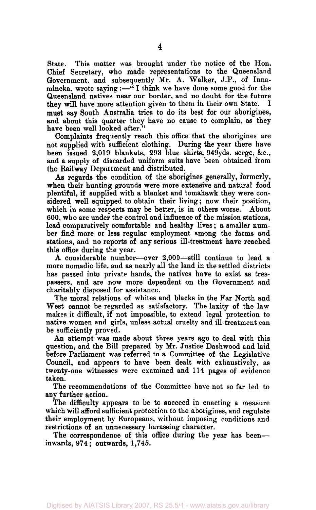State. This matter was brought under the notice of the Hon. Chief Secretary, who made representations to the Queensland Government, and subsequently Mr. A. Walker, J.P., of Innamincka, wrote saying: $-\cdot$ <sup>7</sup> I think we have done some good for the Queensland natives near our border, and no doubt for the future they will have more attention given to them in their own State. must say South Australia tries to do its best for our aborigines, and about this quarter they have no cause to complain, as they have been well looked after.

Complaints frequently reach this office that the aborigines are not supplied with sufficient clothing. During the year there have been issued 2,019 blankets, 293 blue shirts, 949yds. serge, &c, and a supply of discarded uniform suits have been obtained from the Railway Department and distributed.

As regards the condition of the aborigines generally, formerly, when their hunting grounds were more extensive and natural food plentiful, if supplied with a blanket and tomahawk they were considered well equipped to obtain their living; now their position, which in some respects may be better, is in others worse. About 600, who are under the control and influence of the mission stations, lead comparatively comfortable and healthy lives; a smaller number find more or less regular employment among the farms and stations, and no reports of any serious ill-treatment have reached this office during the year.

A considerable number—over 2,000—still continue to lead a more nomadic life, and as nearly all the land in the settled districts has passed into private hands, the natives have to exist as trespassers, and are now more dependent on the Government and charitably disposed for assistance.

The moral relations of whites and blacks in the Far North and West cannot be regarded as satisfactory. The laxity of the law makes it difficult, if not impossible, to extend legal protection to native women and girls, unless actual cruelty and ill-treatment can be sufficiently proved.

An attempt was made about three years ago to deal with this question, and the Bill prepared by Mr. Justice Dashwood and laid before Parliament was referred to a Committee of the Legislative Council, and appears to have been dealt with exhaustively, as twenty-one witnesses were examined and 114 pages of evidence taken.

The recommendations of the Committee have not so far led to any further action.

The difficulty appears to be to succeed in enacting a measure which will afford sufficient protection to the aborigines, and regulate their employment by Europeans, without imposing conditions and restrictions of an unnecessary harassing character.

The correspondence of this office during the year has been inwards, 974; outwards, 1,745.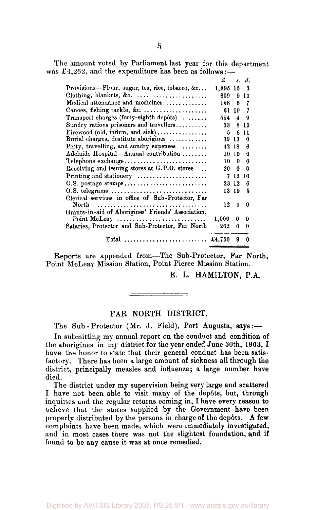The amount voted by Parliament last year for this department was £4,262, and the expenditure has been as follows:—

|                                                                      | £     |    | s. d. |
|----------------------------------------------------------------------|-------|----|-------|
| Provisions—Flour, sugar, tea, rice, tobacco, &c                      | 1,895 | 15 | 3     |
|                                                                      | 609   | 9  | 10    |
| Medical attenuance and medicines                                     | 158   | 6  | 7     |
| Canoes, fishing tackle, &c.                                          | 51    | 10 | 7     |
| Transport charges (forty-eighth depôts)                              | 554.  | 4  | 9     |
| Sundry rations prisoners and travellers                              | 33    | я  | 10    |
| Firewood (old, infirm, and $sick)$ ,                                 | 5     | 6  | 11    |
| Burial charges, destitute aborigines                                 | 39 13 |    | 0     |
| Petty, travelling, and sundry expenses $\ldots \ldots$               | 42    | 18 | 6     |
| Adelaide Hospital-Annual contribution                                | 10    | 10 | 0     |
| Telephone exchange                                                   | 10    | 0  | 0     |
| Receiving and issuing stores at G.P.O. stores.                       | 20    | 0  | 0     |
| Printing and stationery $\dots\dots\dots\dots\dots\dots\dots$        | 7     | 12 | 10    |
|                                                                      | 23 12 |    | 6     |
|                                                                      | 13 19 |    | 5     |
| Clerical services in office of Sub-Protector, Far                    |       |    |       |
| North                                                                | 12    | 0  | 0     |
| Grants-in-aid of Aborigines' Friends' Association,                   |       |    |       |
| Point McLeay $\dots \dots \dots \dots \dots \dots \dots \dots \dots$ | 1.000 | 0  | 0     |
| Salaries, Protector and Sub-Protector, Far North                     | 262   | 0  | 0     |
| Total $\pounds$ 4.750                                                |       | 9  | 0     |
|                                                                      |       |    |       |

Reports are appended from—The Sub-Protector, Far North, Point McLeay Mission Station, Point Pierce Mission Station.

E. L. HAMILTON, P.A.

#### FAR NORTH DISTRICT.

The Sub - Protector (Mr. J. Field), Port Augusta, says:—

In submitting my annual report on the conduct and condition of the aborigines in my district for the year ended June 30th, 1903, I have the honor to state that their general conduct has been satisfactory. There has been a large amount of sickness all through the district, principally measles and influenza; a large number have died.

The district under my supervision being very large and scattered I have not been able to visit many of the depôts, but, through inquiries and the regular returns coming in, I have every reason to believe that the stores supplied by the Government have been properly distributed by the persons in charge of the depôts. A few complaints have been made, which were immediately investigated, and in most cases there was not the slightest foundation, and if found to be any cause it was at once remedied.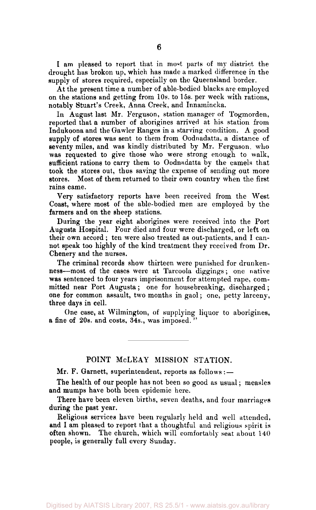I am pleased to report that in most parts of my district the drought has broken up, which has made a marked difference in the supply of stores required, especially on the Queensland border.

At the present time a number of able-bodied blacks are employed on the stations and getting from 10s. to 15s. per week with rations, notably Stuart's Creek, Anna Creek, and Innamincka.

In August last Mr. Ferguson, station manager of Togmorden, reported that a number of aborigines arrived at his station from Indukoona and the Gawler Ranges in a starving condition. A good supply of stores was sent to them from Oodnadatta, a distance of seventy miles, and was kindly distributed by Mr. Ferguson, who was requested to give those who were strong enough to walk, sufficient rations to carry them to Oodnadatta by the camels that took the stores out, thus saving the expense of sending out more stores. Most of them returned to their own country when the first rains came.

Very satisfactory reports have been received from the West Coast, where most of the able-bodied men are employed by the farmers and on the sheep stations.

During the year eight aborigines were received into the Port Augusta Hospital. Four died and four were discharged, or left on their own accord ; ten were also treated as out-patients, and I cannot speak too highly of the kind treatment they received from Dr. Chenery and the nurses.

The criminal records show thirteen were punished for drunkenness—most of the cases were at Tarcoola diggings; one native was sentenced to four years imprisonment for attempted rape, committed near Port Augusta; one for housebreaking, discharged ; one for common assault, two months in gaol; one, petty larceny, three days in cell.

One case, at Wilmington, of supplying liquor to aborigines, a fine of 20s. and costs, 34s., was imposed. "

### POINT McLEAY MISSION STATION.

Mr. F. Garnett, superintendent, reports as follows: —

The health of our people has not been so good as usual; measles and mumps have both been epidemic here.

There have been eleven births, seven deaths, and four marriages during the past year.

Religious services have been regularly held and well attended, and I am pleased to report that a thoughtful and religious spirit is often shown. The church, which will comfortably seat about 140 people, is generally full every Sunday.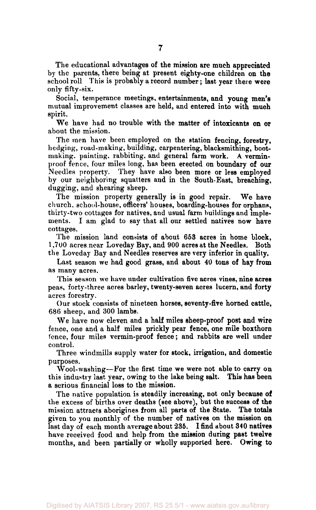The educational advantages of the mission are much appreciated by the parents, there being at present eighty-one children on the school roll This is probably a record number; last year there were only fifty-six.

Social, temperance meetings, entertainments, and young men's mutual improvement classes are held, and entered into with much spirit.

We have had no trouble with the matter of intoxicants on or about the mission.

The men have been employed on the station fencing, forestry, hedging, road-making, building, carpentering, blacksmithing, bootmaking, painting, rabbiting, and general farm work. A verminproof fence, four miles long, has been erected on boundary of our Needles property. They have also been more or less employed by our neighboring squatters and in the South-East, breaching, dugging, and shearing sheep.

The mission property generally is in good repair. We have church, school-house, officers' houses, boarding-houses for orphans, thirty-two cottages for natives, and usual farm buildings and implements. I am glad to say that all our settled natives now have cottages.

The mission land consists of about 653 acres in home block, 1,700 acres.near Loveday Bay, and 900 acres at the Needles. Both the Loveday Bay and Needles reserves are very inferior in quality.

Last season we had good grass, and about 40 tons of hay from as many acres.

This season we have under cultivation five acres vines, nine acres peas, forty-three acres barley, twenty-seven acres lucern, and forty acres forestry.

Our stock consists of nineteen horses, seventy-five horned cattle, 686 sheep, and 300 lambs.

We have now eleven and a half miles sheep-proof post and wire fence, one and a half miles prickly pear fence, one mile boxthorn fence, four miles vermin-proof fence; and rabbits are well under control.

Three windmills supply water for stock, irrigation, and domestic purposes.

Wool-washing—For the first time we were not able to carry on this industry last year, owing to the lake being salt. This has been a serious financial loss to the mission.

The native population is steadily increasing, not only because of the excess of births over deaths (see above), but the success of the mission attracts aborigines from all parts of the State. The totals given to you monthly of the number of natives on the mission on last day of each month average about 285. I find about 340 natives have received food and help from the mission during past twelve months, and been partially or wholly supported here. Owing to